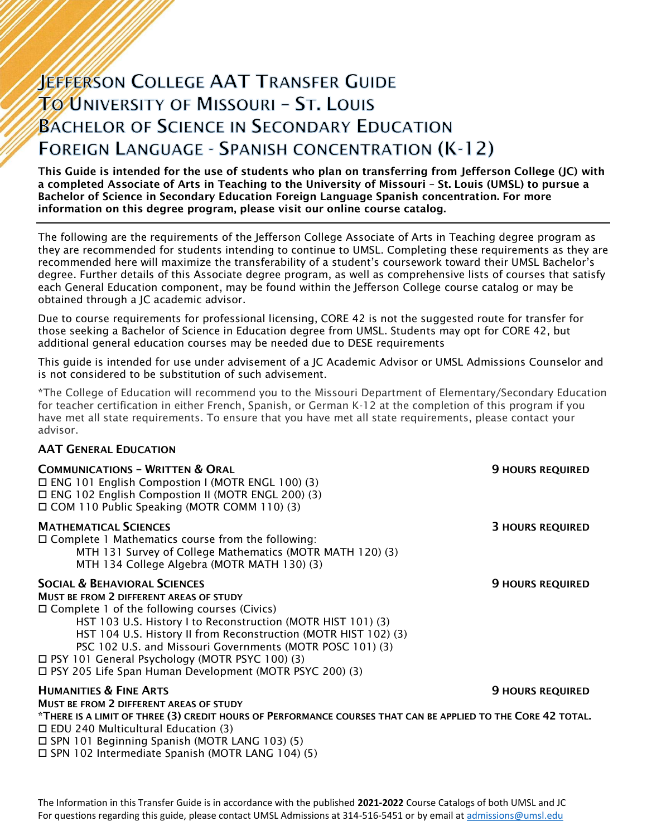# **JEFFERSON COLLEGE AAT TRANSFER GUIDE TO UNIVERSITY OF MISSOURI - ST. LOUIS BACHELOR OF SCIENCE IN SECONDARY EDUCATION FOREIGN LANGUAGE - SPANISH CONCENTRATION (K-12)**

This Guide is intended for the use of students who plan on transferring from Jefferson College (JC) with a completed Associate of Arts in Teaching to the University of Missouri – St. Louis (UMSL) to pursue a Bachelor of Science in Secondary Education Foreign Language Spanish concentration. For more information on this degree program, please visit our online course catalog.

The following are the requirements of the Jefferson College Associate of Arts in Teaching degree program as they are recommended for students intending to continue to UMSL. Completing these requirements as they are recommended here will maximize the transferability of a student's coursework toward their UMSL Bachelor's degree. Further details of this Associate degree program, as well as comprehensive lists of courses that satisfy each General Education component, may be found within the Jefferson College course catalog or may be obtained through a JC academic advisor.

Due to course requirements for professional licensing, CORE 42 is not the suggested route for transfer for those seeking a Bachelor of Science in Education degree from UMSL. Students may opt for CORE 42, but additional general education courses may be needed due to DESE requirements

This guide is intended for use under advisement of a JC Academic Advisor or UMSL Admissions Counselor and is not considered to be substitution of such advisement.

\*The College of Education will recommend you to the Missouri Department of Elementary/Secondary Education for teacher certification in either French, Spanish, or German K-12 at the completion of this program if you have met all state requirements. To ensure that you have met all state requirements, please contact your advisor.

## AAT GENERAL EDUCATION

| <b>COMMUNICATIONS - WRITTEN &amp; ORAL</b><br>□ ENG 101 English Compostion I (MOTR ENGL 100) (3)<br>□ ENG 102 English Compostion II (MOTR ENGL 200) (3)<br>□ COM 110 Public Speaking (MOTR COMM 110) (3)                                                                                                                                                                                                                                                          | <b>9 HOURS REQUIRED</b> |
|-------------------------------------------------------------------------------------------------------------------------------------------------------------------------------------------------------------------------------------------------------------------------------------------------------------------------------------------------------------------------------------------------------------------------------------------------------------------|-------------------------|
| <b>MATHEMATICAL SCIENCES</b><br>$\Box$ Complete 1 Mathematics course from the following:<br>MTH 131 Survey of College Mathematics (MOTR MATH 120) (3)<br>MTH 134 College Algebra (MOTR MATH 130) (3)                                                                                                                                                                                                                                                              | <b>3 HOURS REQUIRED</b> |
| <b>SOCIAL &amp; BEHAVIORAL SCIENCES</b><br><b>MUST BE FROM 2 DIFFERENT AREAS OF STUDY</b><br>$\Box$ Complete 1 of the following courses (Civics)<br>HST 103 U.S. History I to Reconstruction (MOTR HIST 101) (3)<br>HST 104 U.S. History II from Reconstruction (MOTR HIST 102) (3)<br>PSC 102 U.S. and Missouri Governments (MOTR POSC 101) (3)<br>□ PSY 101 General Psychology (MOTR PSYC 100) (3)<br>□ PSY 205 Life Span Human Development (MOTR PSYC 200) (3) | <b>9 HOURS REQUIRED</b> |
| <b>HUMANITIES &amp; FINE ARTS</b>                                                                                                                                                                                                                                                                                                                                                                                                                                 | <b>9 HOURS REQUIRED</b> |
| <b>MUST BE FROM 2 DIFFERENT AREAS OF STUDY</b><br>*THERE IS A LIMIT OF THREE (3) CREDIT HOURS OF PERFORMANCE COURSES THAT CAN BE APPLIED TO THE CORE 42 TOTAL.<br>$\Box$ EDU 240 Multicultural Education (3)<br>$\Box$ SPN 101 Beginning Spanish (MOTR LANG 103) (5)<br>□ SPN 102 Intermediate Spanish (MOTR LANG 104) (5)                                                                                                                                        |                         |